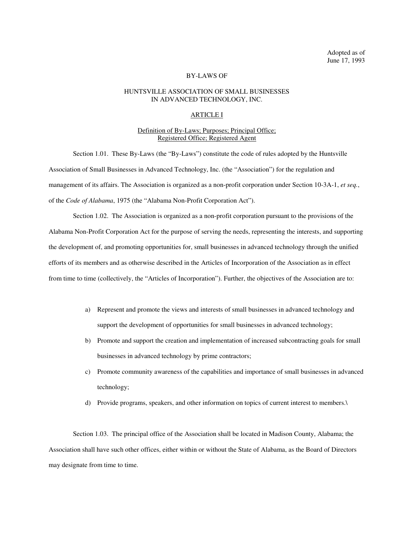Adopted as of June 17, 1993

# BY-LAWS OF

## HUNTSVILLE ASSOCIATION OF SMALL BUSINESSES IN ADVANCED TECHNOLOGY, INC.

# ARTICLE I

# Definition of By-Laws; Purposes; Principal Office; Registered Office; Registered Agent

Section 1.01. These By-Laws (the "By-Laws") constitute the code of rules adopted by the Huntsville Association of Small Businesses in Advanced Technology, Inc. (the "Association") for the regulation and management of its affairs. The Association is organized as a non-profit corporation under Section 10-3A-1, *et seq.*, of the *Code of Alabama*, 1975 (the "Alabama Non-Profit Corporation Act").

Section 1.02. The Association is organized as a non-profit corporation pursuant to the provisions of the Alabama Non-Profit Corporation Act for the purpose of serving the needs, representing the interests, and supporting the development of, and promoting opportunities for, small businesses in advanced technology through the unified efforts of its members and as otherwise described in the Articles of Incorporation of the Association as in effect from time to time (collectively, the "Articles of Incorporation"). Further, the objectives of the Association are to:

- a) Represent and promote the views and interests of small businesses in advanced technology and support the development of opportunities for small businesses in advanced technology;
- b) Promote and support the creation and implementation of increased subcontracting goals for small businesses in advanced technology by prime contractors;
- c) Promote community awareness of the capabilities and importance of small businesses in advanced technology;
- d) Provide programs, speakers, and other information on topics of current interest to members.\

Section 1.03. The principal office of the Association shall be located in Madison County, Alabama; the Association shall have such other offices, either within or without the State of Alabama, as the Board of Directors may designate from time to time.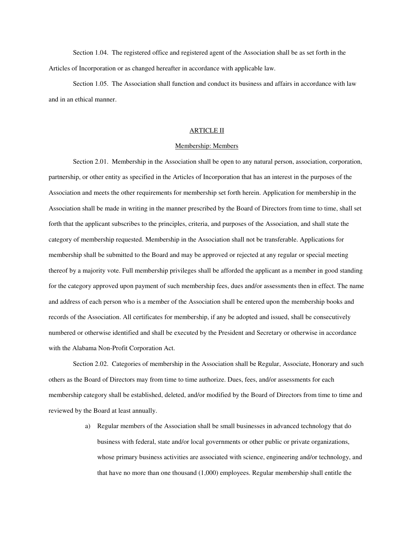Section 1.04. The registered office and registered agent of the Association shall be as set forth in the Articles of Incorporation or as changed hereafter in accordance with applicable law.

Section 1.05. The Association shall function and conduct its business and affairs in accordance with law and in an ethical manner.

### ARTICLE II

### Membership: Members

Section 2.01. Membership in the Association shall be open to any natural person, association, corporation, partnership, or other entity as specified in the Articles of Incorporation that has an interest in the purposes of the Association and meets the other requirements for membership set forth herein. Application for membership in the Association shall be made in writing in the manner prescribed by the Board of Directors from time to time, shall set forth that the applicant subscribes to the principles, criteria, and purposes of the Association, and shall state the category of membership requested. Membership in the Association shall not be transferable. Applications for membership shall be submitted to the Board and may be approved or rejected at any regular or special meeting thereof by a majority vote. Full membership privileges shall be afforded the applicant as a member in good standing for the category approved upon payment of such membership fees, dues and/or assessments then in effect. The name and address of each person who is a member of the Association shall be entered upon the membership books and records of the Association. All certificates for membership, if any be adopted and issued, shall be consecutively numbered or otherwise identified and shall be executed by the President and Secretary or otherwise in accordance with the Alabama Non-Profit Corporation Act.

Section 2.02. Categories of membership in the Association shall be Regular, Associate, Honorary and such others as the Board of Directors may from time to time authorize. Dues, fees, and/or assessments for each membership category shall be established, deleted, and/or modified by the Board of Directors from time to time and reviewed by the Board at least annually.

> a) Regular members of the Association shall be small businesses in advanced technology that do business with federal, state and/or local governments or other public or private organizations, whose primary business activities are associated with science, engineering and/or technology, and that have no more than one thousand (1,000) employees. Regular membership shall entitle the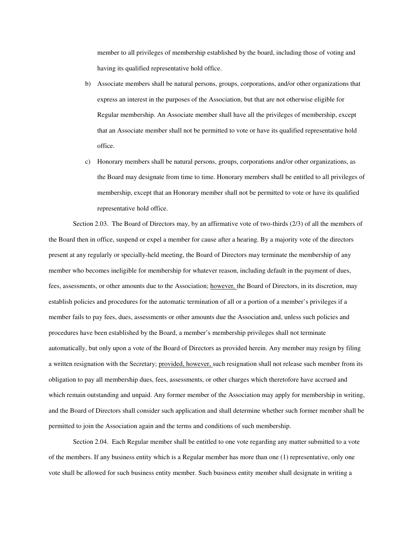member to all privileges of membership established by the board, including those of voting and having its qualified representative hold office.

- b) Associate members shall be natural persons, groups, corporations, and/or other organizations that express an interest in the purposes of the Association, but that are not otherwise eligible for Regular membership. An Associate member shall have all the privileges of membership, except that an Associate member shall not be permitted to vote or have its qualified representative hold office.
- c) Honorary members shall be natural persons, groups, corporations and/or other organizations, as the Board may designate from time to time. Honorary members shall be entitled to all privileges of membership, except that an Honorary member shall not be permitted to vote or have its qualified representative hold office.

Section 2.03. The Board of Directors may, by an affirmative vote of two-thirds (2/3) of all the members of the Board then in office, suspend or expel a member for cause after a hearing. By a majority vote of the directors present at any regularly or specially-held meeting, the Board of Directors may terminate the membership of any member who becomes ineligible for membership for whatever reason, including default in the payment of dues, fees, assessments, or other amounts due to the Association; however*,* the Board of Directors, in its discretion, may establish policies and procedures for the automatic termination of all or a portion of a member's privileges if a member fails to pay fees, dues, assessments or other amounts due the Association and, unless such policies and procedures have been established by the Board, a member's membership privileges shall not terminate automatically, but only upon a vote of the Board of Directors as provided herein. Any member may resign by filing a written resignation with the Secretary; provided, however, such resignation shall not release such member from its obligation to pay all membership dues, fees, assessments, or other charges which theretofore have accrued and which remain outstanding and unpaid. Any former member of the Association may apply for membership in writing, and the Board of Directors shall consider such application and shall determine whether such former member shall be permitted to join the Association again and the terms and conditions of such membership.

Section 2.04. Each Regular member shall be entitled to one vote regarding any matter submitted to a vote of the members. If any business entity which is a Regular member has more than one (1) representative, only one vote shall be allowed for such business entity member. Such business entity member shall designate in writing a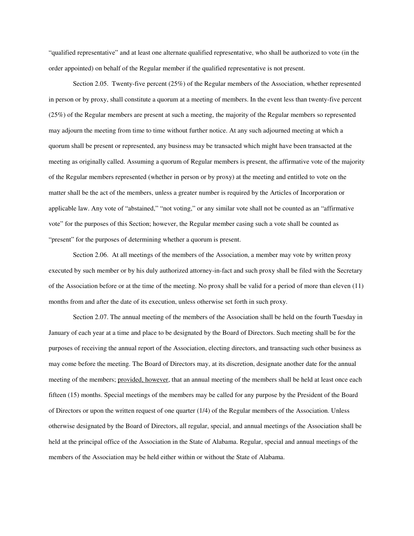"qualified representative" and at least one alternate qualified representative, who shall be authorized to vote (in the order appointed) on behalf of the Regular member if the qualified representative is not present.

Section 2.05. Twenty-five percent (25%) of the Regular members of the Association, whether represented in person or by proxy, shall constitute a quorum at a meeting of members. In the event less than twenty-five percent (25%) of the Regular members are present at such a meeting, the majority of the Regular members so represented may adjourn the meeting from time to time without further notice. At any such adjourned meeting at which a quorum shall be present or represented, any business may be transacted which might have been transacted at the meeting as originally called. Assuming a quorum of Regular members is present, the affirmative vote of the majority of the Regular members represented (whether in person or by proxy) at the meeting and entitled to vote on the matter shall be the act of the members, unless a greater number is required by the Articles of Incorporation or applicable law. Any vote of "abstained," "not voting," or any similar vote shall not be counted as an "affirmative vote" for the purposes of this Section; however, the Regular member casing such a vote shall be counted as "present" for the purposes of determining whether a quorum is present.

Section 2.06. At all meetings of the members of the Association, a member may vote by written proxy executed by such member or by his duly authorized attorney-in-fact and such proxy shall be filed with the Secretary of the Association before or at the time of the meeting. No proxy shall be valid for a period of more than eleven (11) months from and after the date of its execution, unless otherwise set forth in such proxy.

Section 2.07. The annual meeting of the members of the Association shall be held on the fourth Tuesday in January of each year at a time and place to be designated by the Board of Directors. Such meeting shall be for the purposes of receiving the annual report of the Association, electing directors, and transacting such other business as may come before the meeting. The Board of Directors may, at its discretion, designate another date for the annual meeting of the members; provided, however, that an annual meeting of the members shall be held at least once each fifteen (15) months. Special meetings of the members may be called for any purpose by the President of the Board of Directors or upon the written request of one quarter (1/4) of the Regular members of the Association. Unless otherwise designated by the Board of Directors, all regular, special, and annual meetings of the Association shall be held at the principal office of the Association in the State of Alabama. Regular, special and annual meetings of the members of the Association may be held either within or without the State of Alabama.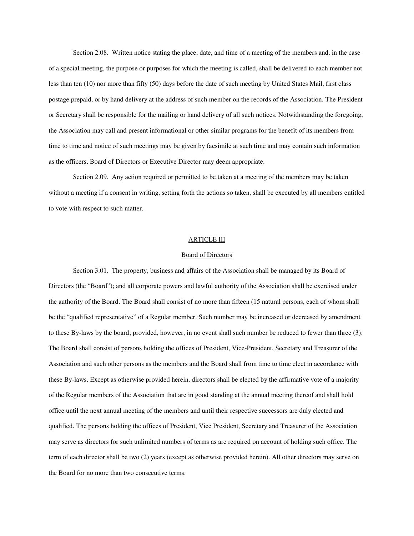Section 2.08. Written notice stating the place, date, and time of a meeting of the members and, in the case of a special meeting, the purpose or purposes for which the meeting is called, shall be delivered to each member not less than ten (10) nor more than fifty (50) days before the date of such meeting by United States Mail, first class postage prepaid, or by hand delivery at the address of such member on the records of the Association. The President or Secretary shall be responsible for the mailing or hand delivery of all such notices. Notwithstanding the foregoing, the Association may call and present informational or other similar programs for the benefit of its members from time to time and notice of such meetings may be given by facsimile at such time and may contain such information as the officers, Board of Directors or Executive Director may deem appropriate.

Section 2.09. Any action required or permitted to be taken at a meeting of the members may be taken without a meeting if a consent in writing, setting forth the actions so taken, shall be executed by all members entitled to vote with respect to such matter.

## ARTICLE III

### Board of Directors

Section 3.01. The property, business and affairs of the Association shall be managed by its Board of Directors (the "Board"); and all corporate powers and lawful authority of the Association shall be exercised under the authority of the Board. The Board shall consist of no more than fifteen (15 natural persons, each of whom shall be the "qualified representative" of a Regular member. Such number may be increased or decreased by amendment to these By-laws by the board; provided, however, in no event shall such number be reduced to fewer than three (3). The Board shall consist of persons holding the offices of President, Vice-President, Secretary and Treasurer of the Association and such other persons as the members and the Board shall from time to time elect in accordance with these By-laws. Except as otherwise provided herein, directors shall be elected by the affirmative vote of a majority of the Regular members of the Association that are in good standing at the annual meeting thereof and shall hold office until the next annual meeting of the members and until their respective successors are duly elected and qualified. The persons holding the offices of President, Vice President, Secretary and Treasurer of the Association may serve as directors for such unlimited numbers of terms as are required on account of holding such office. The term of each director shall be two (2) years (except as otherwise provided herein). All other directors may serve on the Board for no more than two consecutive terms.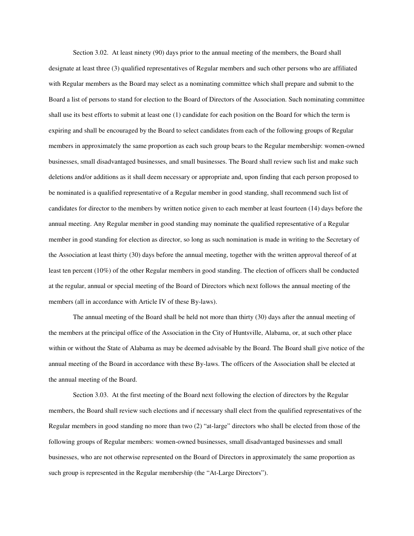Section 3.02. At least ninety (90) days prior to the annual meeting of the members, the Board shall designate at least three (3) qualified representatives of Regular members and such other persons who are affiliated with Regular members as the Board may select as a nominating committee which shall prepare and submit to the Board a list of persons to stand for election to the Board of Directors of the Association. Such nominating committee shall use its best efforts to submit at least one (1) candidate for each position on the Board for which the term is expiring and shall be encouraged by the Board to select candidates from each of the following groups of Regular members in approximately the same proportion as each such group bears to the Regular membership: women-owned businesses, small disadvantaged businesses, and small businesses. The Board shall review such list and make such deletions and/or additions as it shall deem necessary or appropriate and, upon finding that each person proposed to be nominated is a qualified representative of a Regular member in good standing, shall recommend such list of candidates for director to the members by written notice given to each member at least fourteen (14) days before the annual meeting. Any Regular member in good standing may nominate the qualified representative of a Regular member in good standing for election as director, so long as such nomination is made in writing to the Secretary of the Association at least thirty (30) days before the annual meeting, together with the written approval thereof of at least ten percent (10%) of the other Regular members in good standing. The election of officers shall be conducted at the regular, annual or special meeting of the Board of Directors which next follows the annual meeting of the members (all in accordance with Article IV of these By-laws).

The annual meeting of the Board shall be held not more than thirty (30) days after the annual meeting of the members at the principal office of the Association in the City of Huntsville, Alabama, or, at such other place within or without the State of Alabama as may be deemed advisable by the Board. The Board shall give notice of the annual meeting of the Board in accordance with these By-laws. The officers of the Association shall be elected at the annual meeting of the Board.

Section 3.03. At the first meeting of the Board next following the election of directors by the Regular members, the Board shall review such elections and if necessary shall elect from the qualified representatives of the Regular members in good standing no more than two (2) "at-large" directors who shall be elected from those of the following groups of Regular members: women-owned businesses, small disadvantaged businesses and small businesses, who are not otherwise represented on the Board of Directors in approximately the same proportion as such group is represented in the Regular membership (the "At-Large Directors").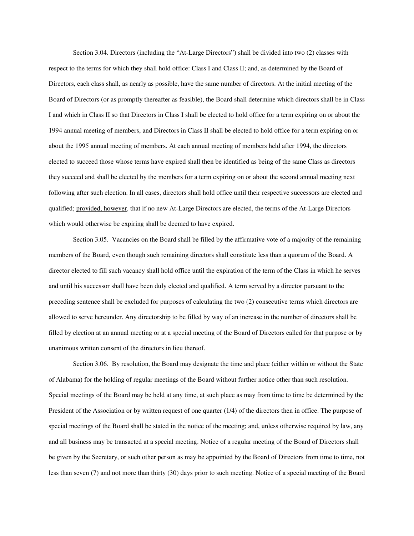Section 3.04. Directors (including the "At-Large Directors") shall be divided into two (2) classes with respect to the terms for which they shall hold office: Class I and Class II; and, as determined by the Board of Directors, each class shall, as nearly as possible, have the same number of directors. At the initial meeting of the Board of Directors (or as promptly thereafter as feasible), the Board shall determine which directors shall be in Class I and which in Class II so that Directors in Class I shall be elected to hold office for a term expiring on or about the 1994 annual meeting of members, and Directors in Class II shall be elected to hold office for a term expiring on or about the 1995 annual meeting of members. At each annual meeting of members held after 1994, the directors elected to succeed those whose terms have expired shall then be identified as being of the same Class as directors they succeed and shall be elected by the members for a term expiring on or about the second annual meeting next following after such election. In all cases, directors shall hold office until their respective successors are elected and qualified; provided, however, that if no new At-Large Directors are elected, the terms of the At-Large Directors which would otherwise be expiring shall be deemed to have expired.

Section 3.05. Vacancies on the Board shall be filled by the affirmative vote of a majority of the remaining members of the Board, even though such remaining directors shall constitute less than a quorum of the Board. A director elected to fill such vacancy shall hold office until the expiration of the term of the Class in which he serves and until his successor shall have been duly elected and qualified. A term served by a director pursuant to the preceding sentence shall be excluded for purposes of calculating the two (2) consecutive terms which directors are allowed to serve hereunder. Any directorship to be filled by way of an increase in the number of directors shall be filled by election at an annual meeting or at a special meeting of the Board of Directors called for that purpose or by unanimous written consent of the directors in lieu thereof.

Section 3.06. By resolution, the Board may designate the time and place (either within or without the State of Alabama) for the holding of regular meetings of the Board without further notice other than such resolution. Special meetings of the Board may be held at any time, at such place as may from time to time be determined by the President of the Association or by written request of one quarter (1/4) of the directors then in office. The purpose of special meetings of the Board shall be stated in the notice of the meeting; and, unless otherwise required by law, any and all business may be transacted at a special meeting. Notice of a regular meeting of the Board of Directors shall be given by the Secretary, or such other person as may be appointed by the Board of Directors from time to time, not less than seven (7) and not more than thirty (30) days prior to such meeting. Notice of a special meeting of the Board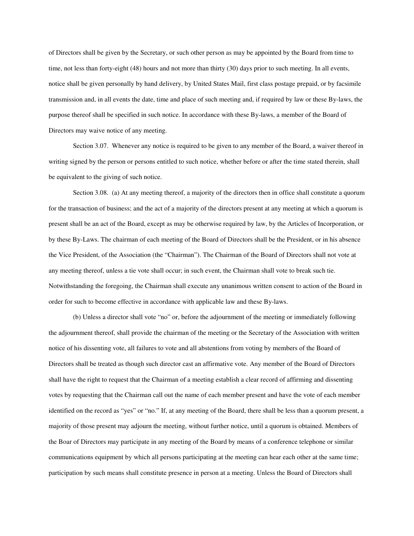of Directors shall be given by the Secretary, or such other person as may be appointed by the Board from time to time, not less than forty-eight (48) hours and not more than thirty (30) days prior to such meeting. In all events, notice shall be given personally by hand delivery, by United States Mail, first class postage prepaid, or by facsimile transmission and, in all events the date, time and place of such meeting and, if required by law or these By-laws, the purpose thereof shall be specified in such notice. In accordance with these By-laws, a member of the Board of Directors may waive notice of any meeting.

Section 3.07. Whenever any notice is required to be given to any member of the Board, a waiver thereof in writing signed by the person or persons entitled to such notice, whether before or after the time stated therein, shall be equivalent to the giving of such notice.

Section 3.08. (a) At any meeting thereof, a majority of the directors then in office shall constitute a quorum for the transaction of business; and the act of a majority of the directors present at any meeting at which a quorum is present shall be an act of the Board, except as may be otherwise required by law, by the Articles of Incorporation, or by these By-Laws. The chairman of each meeting of the Board of Directors shall be the President, or in his absence the Vice President, of the Association (the "Chairman"). The Chairman of the Board of Directors shall not vote at any meeting thereof, unless a tie vote shall occur; in such event, the Chairman shall vote to break such tie. Notwithstanding the foregoing, the Chairman shall execute any unanimous written consent to action of the Board in order for such to become effective in accordance with applicable law and these By-laws.

(b) Unless a director shall vote "no" or, before the adjournment of the meeting or immediately following the adjournment thereof, shall provide the chairman of the meeting or the Secretary of the Association with written notice of his dissenting vote, all failures to vote and all abstentions from voting by members of the Board of Directors shall be treated as though such director cast an affirmative vote. Any member of the Board of Directors shall have the right to request that the Chairman of a meeting establish a clear record of affirming and dissenting votes by requesting that the Chairman call out the name of each member present and have the vote of each member identified on the record as "yes" or "no." If, at any meeting of the Board, there shall be less than a quorum present, a majority of those present may adjourn the meeting, without further notice, until a quorum is obtained. Members of the Boar of Directors may participate in any meeting of the Board by means of a conference telephone or similar communications equipment by which all persons participating at the meeting can hear each other at the same time; participation by such means shall constitute presence in person at a meeting. Unless the Board of Directors shall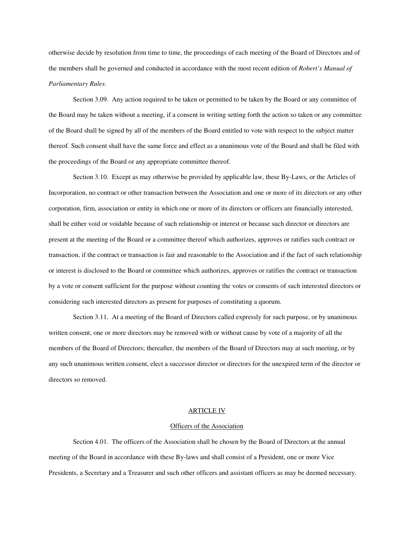otherwise decide by resolution from time to time, the proceedings of each meeting of the Board of Directors and of the members shall be governed and conducted in accordance with the most recent edition of *Robert's Manual of Parliamentary Rules*.

Section 3.09. Any action required to be taken or permitted to be taken by the Board or any committee of the Board may be taken without a meeting, if a consent in writing setting forth the action so taken or any committee of the Board shall be signed by all of the members of the Board entitled to vote with respect to the subject matter thereof. Such consent shall have the same force and effect as a unanimous vote of the Board and shall be filed with the proceedings of the Board or any appropriate committee thereof.

Section 3.10. Except as may otherwise be provided by applicable law, these By-Laws, or the Articles of Incorporation, no contract or other transaction between the Association and one or more of its directors or any other corporation, firm, association or entity in which one or more of its directors or officers are financially interested, shall be either void or voidable because of such relationship or interest or because such director or directors are present at the meeting of the Board or a committee thereof which authorizes, approves or ratifies such contract or transaction, if the contract or transaction is fair and reasonable to the Association and if the fact of such relationship or interest is disclosed to the Board or committee which authorizes, approves or ratifies the contract or transaction by a vote or consent sufficient for the purpose without counting the votes or consents of such interested directors or considering such interested directors as present for purposes of constituting a quorum.

Section 3.11. At a meeting of the Board of Directors called expressly for such purpose, or by unanimous written consent, one or more directors may be removed with or without cause by vote of a majority of all the members of the Board of Directors; thereafter, the members of the Board of Directors may at such meeting, or by any such unanimous written consent, elect a successor director or directors for the unexpired term of the director or directors so removed.

### ARTICLE IV

### Officers of the Association

Section 4.01. The officers of the Association shall be chosen by the Board of Directors at the annual meeting of the Board in accordance with these By-laws and shall consist of a President, one or more Vice Presidents, a Secretary and a Treasurer and such other officers and assistant officers as may be deemed necessary.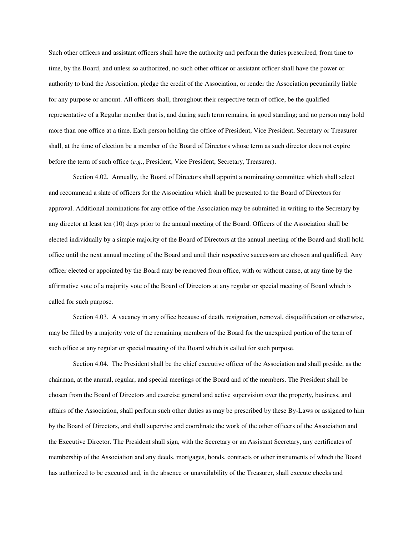Such other officers and assistant officers shall have the authority and perform the duties prescribed, from time to time, by the Board, and unless so authorized, no such other officer or assistant officer shall have the power or authority to bind the Association, pledge the credit of the Association, or render the Association pecuniarily liable for any purpose or amount. All officers shall, throughout their respective term of office, be the qualified representative of a Regular member that is, and during such term remains, in good standing; and no person may hold more than one office at a time. Each person holding the office of President, Vice President, Secretary or Treasurer shall, at the time of election be a member of the Board of Directors whose term as such director does not expire before the term of such office (*e.g.*, President, Vice President, Secretary, Treasurer).

Section 4.02. Annually, the Board of Directors shall appoint a nominating committee which shall select and recommend a slate of officers for the Association which shall be presented to the Board of Directors for approval. Additional nominations for any office of the Association may be submitted in writing to the Secretary by any director at least ten (10) days prior to the annual meeting of the Board. Officers of the Association shall be elected individually by a simple majority of the Board of Directors at the annual meeting of the Board and shall hold office until the next annual meeting of the Board and until their respective successors are chosen and qualified. Any officer elected or appointed by the Board may be removed from office, with or without cause, at any time by the affirmative vote of a majority vote of the Board of Directors at any regular or special meeting of Board which is called for such purpose.

Section 4.03. A vacancy in any office because of death, resignation, removal, disqualification or otherwise, may be filled by a majority vote of the remaining members of the Board for the unexpired portion of the term of such office at any regular or special meeting of the Board which is called for such purpose.

Section 4.04. The President shall be the chief executive officer of the Association and shall preside, as the chairman, at the annual, regular, and special meetings of the Board and of the members. The President shall be chosen from the Board of Directors and exercise general and active supervision over the property, business, and affairs of the Association, shall perform such other duties as may be prescribed by these By-Laws or assigned to him by the Board of Directors, and shall supervise and coordinate the work of the other officers of the Association and the Executive Director. The President shall sign, with the Secretary or an Assistant Secretary, any certificates of membership of the Association and any deeds, mortgages, bonds, contracts or other instruments of which the Board has authorized to be executed and, in the absence or unavailability of the Treasurer, shall execute checks and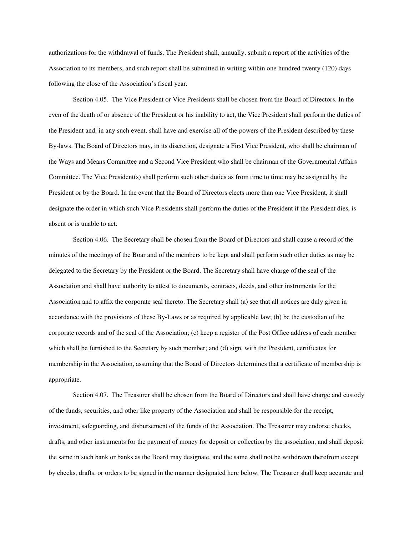authorizations for the withdrawal of funds. The President shall, annually, submit a report of the activities of the Association to its members, and such report shall be submitted in writing within one hundred twenty (120) days following the close of the Association's fiscal year.

Section 4.05. The Vice President or Vice Presidents shall be chosen from the Board of Directors. In the even of the death of or absence of the President or his inability to act, the Vice President shall perform the duties of the President and, in any such event, shall have and exercise all of the powers of the President described by these By-laws. The Board of Directors may, in its discretion, designate a First Vice President, who shall be chairman of the Ways and Means Committee and a Second Vice President who shall be chairman of the Governmental Affairs Committee. The Vice President(s) shall perform such other duties as from time to time may be assigned by the President or by the Board. In the event that the Board of Directors elects more than one Vice President, it shall designate the order in which such Vice Presidents shall perform the duties of the President if the President dies, is absent or is unable to act.

Section 4.06. The Secretary shall be chosen from the Board of Directors and shall cause a record of the minutes of the meetings of the Boar and of the members to be kept and shall perform such other duties as may be delegated to the Secretary by the President or the Board. The Secretary shall have charge of the seal of the Association and shall have authority to attest to documents, contracts, deeds, and other instruments for the Association and to affix the corporate seal thereto. The Secretary shall (a) see that all notices are duly given in accordance with the provisions of these By-Laws or as required by applicable law; (b) be the custodian of the corporate records and of the seal of the Association; (c) keep a register of the Post Office address of each member which shall be furnished to the Secretary by such member; and (d) sign, with the President, certificates for membership in the Association, assuming that the Board of Directors determines that a certificate of membership is appropriate.

Section 4.07. The Treasurer shall be chosen from the Board of Directors and shall have charge and custody of the funds, securities, and other like property of the Association and shall be responsible for the receipt, investment, safeguarding, and disbursement of the funds of the Association. The Treasurer may endorse checks, drafts, and other instruments for the payment of money for deposit or collection by the association, and shall deposit the same in such bank or banks as the Board may designate, and the same shall not be withdrawn therefrom except by checks, drafts, or orders to be signed in the manner designated here below. The Treasurer shall keep accurate and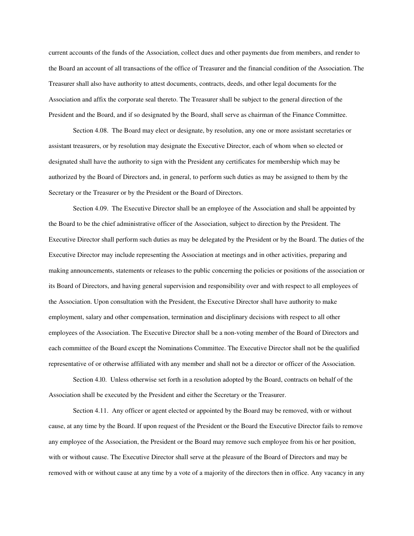current accounts of the funds of the Association, collect dues and other payments due from members, and render to the Board an account of all transactions of the office of Treasurer and the financial condition of the Association. The Treasurer shall also have authority to attest documents, contracts, deeds, and other legal documents for the Association and affix the corporate seal thereto. The Treasurer shall be subject to the general direction of the President and the Board, and if so designated by the Board, shall serve as chairman of the Finance Committee.

Section 4.08. The Board may elect or designate, by resolution, any one or more assistant secretaries or assistant treasurers, or by resolution may designate the Executive Director, each of whom when so elected or designated shall have the authority to sign with the President any certificates for membership which may be authorized by the Board of Directors and, in general, to perform such duties as may be assigned to them by the Secretary or the Treasurer or by the President or the Board of Directors.

Section 4.09. The Executive Director shall be an employee of the Association and shall be appointed by the Board to be the chief administrative officer of the Association, subject to direction by the President. The Executive Director shall perform such duties as may be delegated by the President or by the Board. The duties of the Executive Director may include representing the Association at meetings and in other activities, preparing and making announcements, statements or releases to the public concerning the policies or positions of the association or its Board of Directors, and having general supervision and responsibility over and with respect to all employees of the Association. Upon consultation with the President, the Executive Director shall have authority to make employment, salary and other compensation, termination and disciplinary decisions with respect to all other employees of the Association. The Executive Director shall be a non-voting member of the Board of Directors and each committee of the Board except the Nominations Committee. The Executive Director shall not be the qualified representative of or otherwise affiliated with any member and shall not be a director or officer of the Association.

Section 4.l0. Unless otherwise set forth in a resolution adopted by the Board, contracts on behalf of the Association shall be executed by the President and either the Secretary or the Treasurer.

Section 4.11. Any officer or agent elected or appointed by the Board may be removed, with or without cause, at any time by the Board. If upon request of the President or the Board the Executive Director fails to remove any employee of the Association, the President or the Board may remove such employee from his or her position, with or without cause. The Executive Director shall serve at the pleasure of the Board of Directors and may be removed with or without cause at any time by a vote of a majority of the directors then in office. Any vacancy in any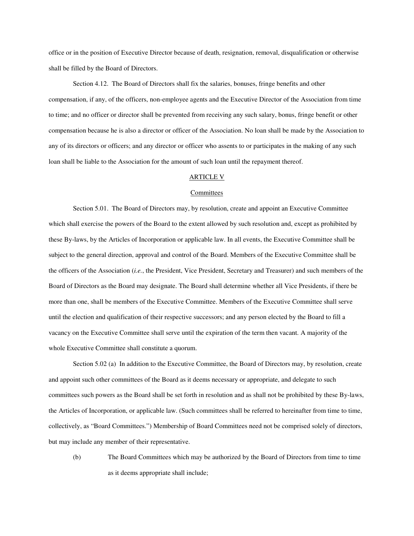office or in the position of Executive Director because of death, resignation, removal, disqualification or otherwise shall be filled by the Board of Directors.

Section 4.12. The Board of Directors shall fix the salaries, bonuses, fringe benefits and other compensation, if any, of the officers, non-employee agents and the Executive Director of the Association from time to time; and no officer or director shall be prevented from receiving any such salary, bonus, fringe benefit or other compensation because he is also a director or officer of the Association. No loan shall be made by the Association to any of its directors or officers; and any director or officer who assents to or participates in the making of any such loan shall be liable to the Association for the amount of such loan until the repayment thereof.

### ARTICLE V

### Committees

Section 5.01. The Board of Directors may, by resolution, create and appoint an Executive Committee which shall exercise the powers of the Board to the extent allowed by such resolution and, except as prohibited by these By-laws, by the Articles of Incorporation or applicable law. In all events, the Executive Committee shall be subject to the general direction, approval and control of the Board. Members of the Executive Committee shall be the officers of the Association (*i.e.*, the President, Vice President, Secretary and Treasurer) and such members of the Board of Directors as the Board may designate. The Board shall determine whether all Vice Presidents, if there be more than one, shall be members of the Executive Committee. Members of the Executive Committee shall serve until the election and qualification of their respective successors; and any person elected by the Board to fill a vacancy on the Executive Committee shall serve until the expiration of the term then vacant. A majority of the whole Executive Committee shall constitute a quorum.

Section 5.02 (a) In addition to the Executive Committee, the Board of Directors may, by resolution, create and appoint such other committees of the Board as it deems necessary or appropriate, and delegate to such committees such powers as the Board shall be set forth in resolution and as shall not be prohibited by these By-laws, the Articles of Incorporation, or applicable law. (Such committees shall be referred to hereinafter from time to time, collectively, as "Board Committees.") Membership of Board Committees need not be comprised solely of directors, but may include any member of their representative.

(b) The Board Committees which may be authorized by the Board of Directors from time to time as it deems appropriate shall include;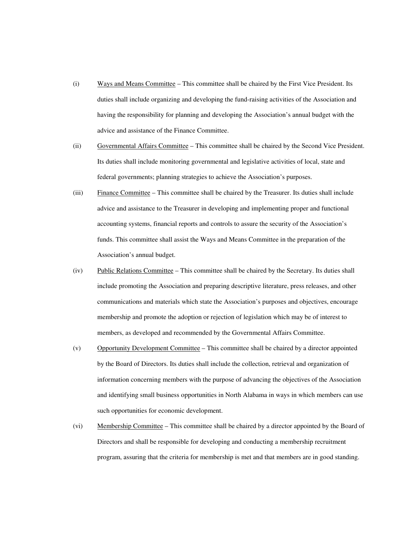- (i) Ways and Means Committee This committee shall be chaired by the First Vice President. Its duties shall include organizing and developing the fund-raising activities of the Association and having the responsibility for planning and developing the Association's annual budget with the advice and assistance of the Finance Committee.
- (ii) Governmental Affairs Committee This committee shall be chaired by the Second Vice President. Its duties shall include monitoring governmental and legislative activities of local, state and federal governments; planning strategies to achieve the Association's purposes.
- (iii) Finance Committee This committee shall be chaired by the Treasurer. Its duties shall include advice and assistance to the Treasurer in developing and implementing proper and functional accounting systems, financial reports and controls to assure the security of the Association's funds. This committee shall assist the Ways and Means Committee in the preparation of the Association's annual budget.
- (iv) Public Relations Committee This committee shall be chaired by the Secretary. Its duties shall include promoting the Association and preparing descriptive literature, press releases, and other communications and materials which state the Association's purposes and objectives, encourage membership and promote the adoption or rejection of legislation which may be of interest to members, as developed and recommended by the Governmental Affairs Committee.
- (v) Opportunity Development Committee This committee shall be chaired by a director appointed by the Board of Directors. Its duties shall include the collection, retrieval and organization of information concerning members with the purpose of advancing the objectives of the Association and identifying small business opportunities in North Alabama in ways in which members can use such opportunities for economic development.
- (vi) Membership Committee This committee shall be chaired by a director appointed by the Board of Directors and shall be responsible for developing and conducting a membership recruitment program, assuring that the criteria for membership is met and that members are in good standing.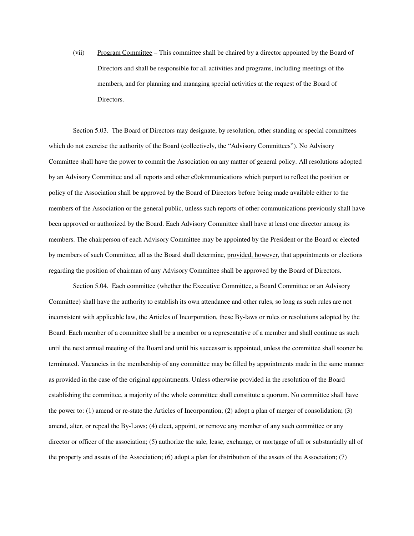(vii) Program Committee – This committee shall be chaired by a director appointed by the Board of Directors and shall be responsible for all activities and programs, including meetings of the members, and for planning and managing special activities at the request of the Board of Directors.

Section 5.03. The Board of Directors may designate, by resolution, other standing or special committees which do not exercise the authority of the Board (collectively, the "Advisory Committees"). No Advisory Committee shall have the power to commit the Association on any matter of general policy. All resolutions adopted by an Advisory Committee and all reports and other c0okmmunications which purport to reflect the position or policy of the Association shall be approved by the Board of Directors before being made available either to the members of the Association or the general public, unless such reports of other communications previously shall have been approved or authorized by the Board. Each Advisory Committee shall have at least one director among its members. The chairperson of each Advisory Committee may be appointed by the President or the Board or elected by members of such Committee, all as the Board shall determine, provided, however, that appointments or elections regarding the position of chairman of any Advisory Committee shall be approved by the Board of Directors.

Section 5.04. Each committee (whether the Executive Committee, a Board Committee or an Advisory Committee) shall have the authority to establish its own attendance and other rules, so long as such rules are not inconsistent with applicable law, the Articles of Incorporation, these By-laws or rules or resolutions adopted by the Board. Each member of a committee shall be a member or a representative of a member and shall continue as such until the next annual meeting of the Board and until his successor is appointed, unless the committee shall sooner be terminated. Vacancies in the membership of any committee may be filled by appointments made in the same manner as provided in the case of the original appointments. Unless otherwise provided in the resolution of the Board establishing the committee, a majority of the whole committee shall constitute a quorum. No committee shall have the power to: (1) amend or re-state the Articles of Incorporation; (2) adopt a plan of merger of consolidation; (3) amend, alter, or repeal the By-Laws; (4) elect, appoint, or remove any member of any such committee or any director or officer of the association; (5) authorize the sale, lease, exchange, or mortgage of all or substantially all of the property and assets of the Association; (6) adopt a plan for distribution of the assets of the Association; (7)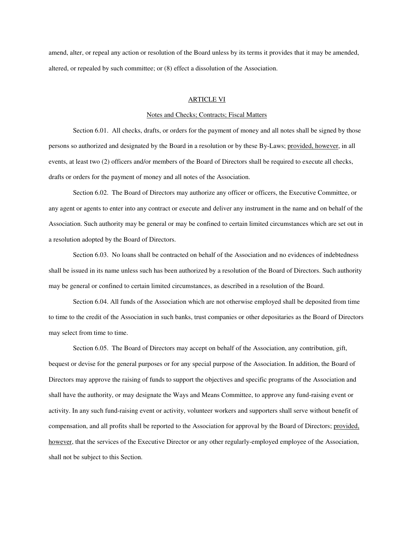amend, alter, or repeal any action or resolution of the Board unless by its terms it provides that it may be amended, altered, or repealed by such committee; or (8) effect a dissolution of the Association.

### ARTICLE VI

# Notes and Checks; Contracts; Fiscal Matters

Section 6.01. All checks, drafts, or orders for the payment of money and all notes shall be signed by those persons so authorized and designated by the Board in a resolution or by these By-Laws; provided, however, in all events, at least two (2) officers and/or members of the Board of Directors shall be required to execute all checks, drafts or orders for the payment of money and all notes of the Association.

Section 6.02. The Board of Directors may authorize any officer or officers, the Executive Committee, or any agent or agents to enter into any contract or execute and deliver any instrument in the name and on behalf of the Association. Such authority may be general or may be confined to certain limited circumstances which are set out in a resolution adopted by the Board of Directors.

Section 6.03. No loans shall be contracted on behalf of the Association and no evidences of indebtedness shall be issued in its name unless such has been authorized by a resolution of the Board of Directors. Such authority may be general or confined to certain limited circumstances, as described in a resolution of the Board.

Section 6.04. All funds of the Association which are not otherwise employed shall be deposited from time to time to the credit of the Association in such banks, trust companies or other depositaries as the Board of Directors may select from time to time.

Section 6.05. The Board of Directors may accept on behalf of the Association, any contribution, gift, bequest or devise for the general purposes or for any special purpose of the Association. In addition, the Board of Directors may approve the raising of funds to support the objectives and specific programs of the Association and shall have the authority, or may designate the Ways and Means Committee, to approve any fund-raising event or activity. In any such fund-raising event or activity, volunteer workers and supporters shall serve without benefit of compensation, and all profits shall be reported to the Association for approval by the Board of Directors; provided, however, that the services of the Executive Director or any other regularly-employed employee of the Association, shall not be subject to this Section.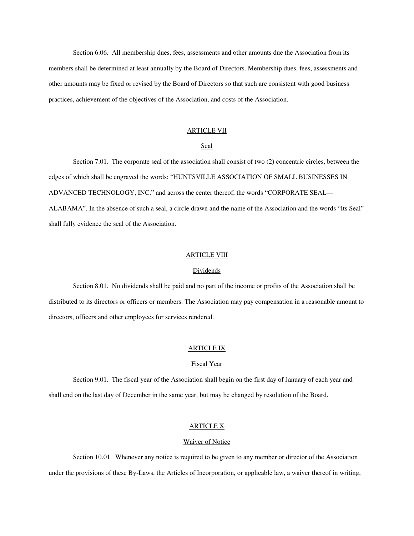Section 6.06. All membership dues, fees, assessments and other amounts due the Association from its members shall be determined at least annually by the Board of Directors. Membership dues, fees, assessments and other amounts may be fixed or revised by the Board of Directors so that such are consistent with good business practices, achievement of the objectives of the Association, and costs of the Association.

# ARTICLE VII

# Seal

Section 7.01. The corporate seal of the association shall consist of two (2) concentric circles, between the edges of which shall be engraved the words: "HUNTSVILLE ASSOCIATION OF SMALL BUSINESSES IN ADVANCED TECHNOLOGY, INC." and across the center thereof, the words "CORPORATE SEAL— ALABAMA". In the absence of such a seal, a circle drawn and the name of the Association and the words "Its Seal" shall fully evidence the seal of the Association.

# ARTICLE VIII

#### **Dividends**

Section 8.01. No dividends shall be paid and no part of the income or profits of the Association shall be distributed to its directors or officers or members. The Association may pay compensation in a reasonable amount to directors, officers and other employees for services rendered.

## ARTICLE IX

## Fiscal Year

Section 9.01. The fiscal year of the Association shall begin on the first day of January of each year and shall end on the last day of December in the same year, but may be changed by resolution of the Board.

## ARTICLE X

### **Waiver of Notice**

Section 10.01. Whenever any notice is required to be given to any member or director of the Association under the provisions of these By-Laws, the Articles of Incorporation, or applicable law, a waiver thereof in writing,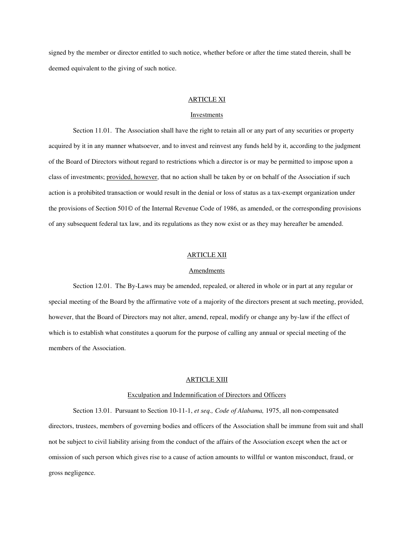signed by the member or director entitled to such notice, whether before or after the time stated therein, shall be deemed equivalent to the giving of such notice.

### ARTICLE XI

### Investments

Section 11.01. The Association shall have the right to retain all or any part of any securities or property acquired by it in any manner whatsoever, and to invest and reinvest any funds held by it, according to the judgment of the Board of Directors without regard to restrictions which a director is or may be permitted to impose upon a class of investments; provided, however, that no action shall be taken by or on behalf of the Association if such action is a prohibited transaction or would result in the denial or loss of status as a tax-exempt organization under the provisions of Section 501© of the Internal Revenue Code of 1986, as amended, or the corresponding provisions of any subsequent federal tax law, and its regulations as they now exist or as they may hereafter be amended.

### ARTICLE XII

#### **Amendments**

Section 12.01. The By-Laws may be amended, repealed, or altered in whole or in part at any regular or special meeting of the Board by the affirmative vote of a majority of the directors present at such meeting, provided, however, that the Board of Directors may not alter, amend, repeal, modify or change any by-law if the effect of which is to establish what constitutes a quorum for the purpose of calling any annual or special meeting of the members of the Association.

## ARTICLE XIII

### Exculpation and Indemnification of Directors and Officers

Section 13.01. Pursuant to Section 10-11-1, *et seq., Code of Alabama,* 1975, all non-compensated directors, trustees, members of governing bodies and officers of the Association shall be immune from suit and shall not be subject to civil liability arising from the conduct of the affairs of the Association except when the act or omission of such person which gives rise to a cause of action amounts to willful or wanton misconduct, fraud, or gross negligence.